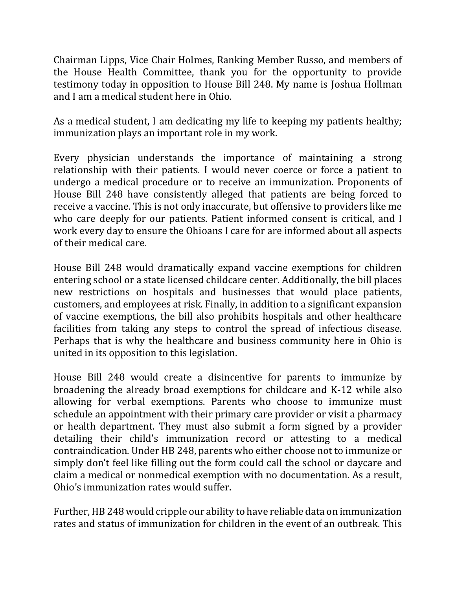Chairman Lipps, Vice Chair Holmes, Ranking Member Russo, and members of the House Health Committee, thank you for the opportunity to provide testimony today in opposition to House Bill 248. My name is Joshua Hollman and I am a medical student here in Ohio.

As a medical student, I am dedicating my life to keeping my patients healthy; immunization plays an important role in my work.

Every physician understands the importance of maintaining a strong relationship with their patients. I would never coerce or force a patient to undergo a medical procedure or to receive an immunization. Proponents of House Bill 248 have consistently alleged that patients are being forced to receive a vaccine. This is not only inaccurate, but offensive to providers like me who care deeply for our patients. Patient informed consent is critical, and I work every day to ensure the Ohioans I care for are informed about all aspects of their medical care.

House Bill 248 would dramatically expand vaccine exemptions for children entering school or a state licensed childcare center. Additionally, the bill places new restrictions on hospitals and businesses that would place patients, customers, and employees at risk. Finally, in addition to a significant expansion of vaccine exemptions, the bill also prohibits hospitals and other healthcare facilities from taking any steps to control the spread of infectious disease. Perhaps that is why the healthcare and business community here in Ohio is united in its opposition to this legislation.

House Bill 248 would create a disincentive for parents to immunize by broadening the already broad exemptions for childcare and K-12 while also allowing for verbal exemptions. Parents who choose to immunize must schedule an appointment with their primary care provider or visit a pharmacy or health department. They must also submit a form signed by a provider detailing their child's immunization record or attesting to a medical contraindication. Under HB 248, parents who either choose not to immunize or simply don't feel like filling out the form could call the school or daycare and claim a medical or nonmedical exemption with no documentation. As a result, Ohio's immunization rates would suffer.

Further, HB 248 would cripple our ability to have reliable data on immunization rates and status of immunization for children in the event of an outbreak. This